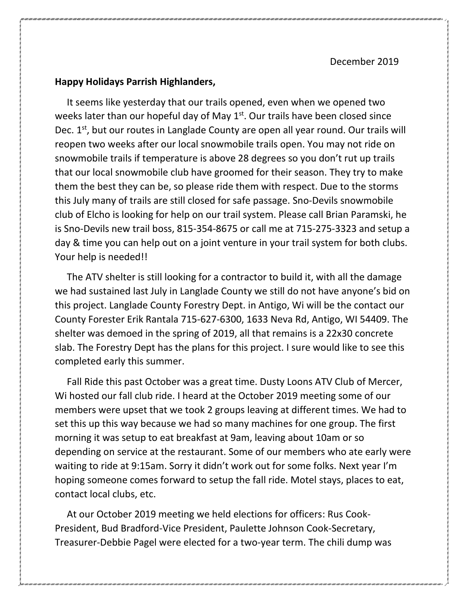December 2019

## **Happy Holidays Parrish Highlanders,**

 It seems like yesterday that our trails opened, even when we opened two weeks later than our hopeful day of May 1<sup>st</sup>. Our trails have been closed since Dec.  $1<sup>st</sup>$ , but our routes in Langlade County are open all year round. Our trails will reopen two weeks after our local snowmobile trails open. You may not ride on snowmobile trails if temperature is above 28 degrees so you don't rut up trails that our local snowmobile club have groomed for their season. They try to make them the best they can be, so please ride them with respect. Due to the storms this July many of trails are still closed for safe passage. Sno-Devils snowmobile club of Elcho is looking for help on our trail system. Please call Brian Paramski, he is Sno-Devils new trail boss, 815-354-8675 or call me at 715-275-3323 and setup a day & time you can help out on a joint venture in your trail system for both clubs. Your help is needed!!

 The ATV shelter is still looking for a contractor to build it, with all the damage we had sustained last July in Langlade County we still do not have anyone's bid on this project. Langlade County Forestry Dept. in Antigo, Wi will be the contact our County Forester Erik Rantala 715-627-6300, 1633 Neva Rd, Antigo, WI 54409. The shelter was demoed in the spring of 2019, all that remains is a 22x30 concrete slab. The Forestry Dept has the plans for this project. I sure would like to see this completed early this summer.

 Fall Ride this past October was a great time. Dusty Loons ATV Club of Mercer, Wi hosted our fall club ride. I heard at the October 2019 meeting some of our members were upset that we took 2 groups leaving at different times. We had to set this up this way because we had so many machines for one group. The first morning it was setup to eat breakfast at 9am, leaving about 10am or so depending on service at the restaurant. Some of our members who ate early were waiting to ride at 9:15am. Sorry it didn't work out for some folks. Next year I'm hoping someone comes forward to setup the fall ride. Motel stays, places to eat, contact local clubs, etc.

 At our October 2019 meeting we held elections for officers: Rus Cook-President, Bud Bradford-Vice President, Paulette Johnson Cook-Secretary, Treasurer-Debbie Pagel were elected for a two-year term. The chili dump was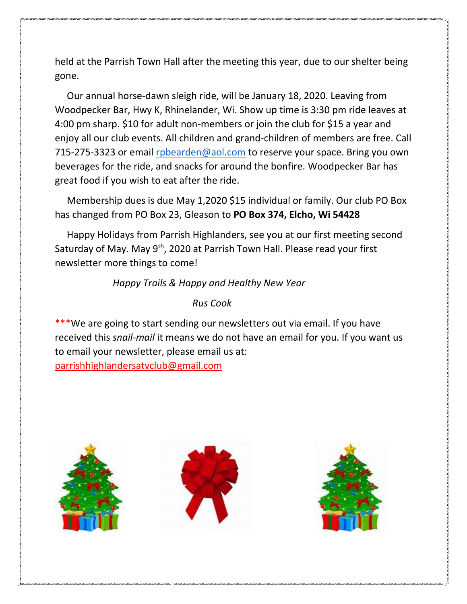held at the Parrish Town Hall after the meeting this year, due to our shelter being gone.

 Our annual horse-dawn sleigh ride, will be January 18, 2020. Leaving from Woodpecker Bar, Hwy K, Rhinelander, Wi. Show up time is 3:30 pm ride leaves at 4:00 pm sharp. \$10 for adult non-members or join the club for \$15 a year and enjoy all our club events. All children and grand-children of members are free. Call 715-275-3323 or email [rpbearden@aol.com](mailto:rpbearden@aol.com) to reserve your space. Bring you own beverages for the ride, and snacks for around the bonfire. Woodpecker Bar has great food if you wish to eat after the ride.

 Membership dues is due May 1,2020 \$15 individual or family. Our club PO Box has changed from PO Box 23, Gleason to **PO Box 374, Elcho, Wi 54428**

 Happy Holidays from Parrish Highlanders, see you at our first meeting second Saturday of May. May 9<sup>th</sup>, 2020 at Parrish Town Hall. Please read your first newsletter more things to come!

*Happy Trails & Happy and Healthy New Year*

## *Rus Cook*

\*We are going to start sending our newsletters out via email. If you have received this *snail-mail* it means we do not have an email for you. If you want us to email your newsletter, please email us at: [parrishhighlandersatvclub@gmail.com](mailto:parrishhighlandersatvclub@gmail.com)

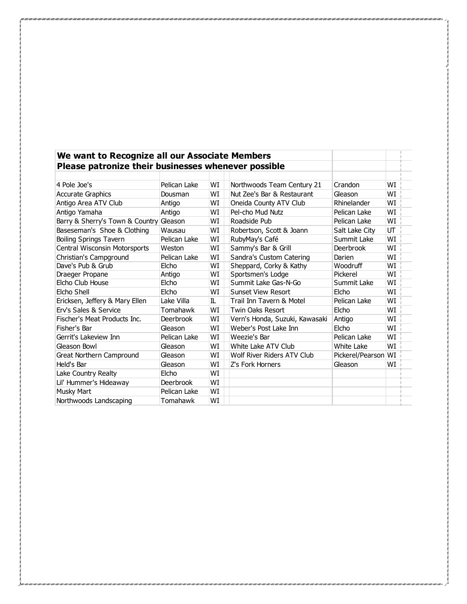| We want to Recognize all our Associate Members      |                  |    |                                |                     |    |  |
|-----------------------------------------------------|------------------|----|--------------------------------|---------------------|----|--|
| Please patronize their businesses whenever possible |                  |    |                                |                     |    |  |
|                                                     |                  |    |                                |                     |    |  |
| 4 Pole Joe's                                        | Pelican Lake     | WI | Northwoods Team Century 21     | Crandon             | WI |  |
| <b>Accurate Graphics</b>                            | Dousman          | WI | Nut Zee's Bar & Restaurant     | Gleason             | WI |  |
| Antigo Area ATV Club                                | Antigo           | WI | Oneida County ATV Club         | Rhinelander         | WI |  |
| Antigo Yamaha                                       | Antigo           | WI | Pel-cho Mud Nutz               | Pelican Lake        | WI |  |
| Barry & Sherry's Town & Country                     | Gleason          | WI | Roadside Pub                   | Pelican Lake        | WI |  |
| Baseseman's Shoe & Clothing                         | Wausau           | WI | Robertson, Scott & Joann       | Salt Lake City      | UT |  |
| <b>Boiling Springs Tavern</b>                       | Pelican Lake     | WI | RubyMay's Café                 | Summit Lake         | WI |  |
| Central Wisconsin Motorsports                       | Weston           | WI | Sammy's Bar & Grill            | <b>Deerbrook</b>    | WI |  |
| Christian's Campground                              | Pelican Lake     | WI | Sandra's Custom Catering       | Darien              | WI |  |
| Dave's Pub & Grub                                   | Elcho            | WI | Sheppard, Corky & Kathy        | Woodruff            | WI |  |
| Draeger Propane                                     | Antigo           | WI | Sportsmen's Lodge              | Pickerel            | WI |  |
| Elcho Club House                                    | Elcho            | WT | Summit Lake Gas-N-Go           | Summit Lake         | WI |  |
| Elcho Shell                                         | Elcho            | WI | <b>Sunset View Resort</b>      | Elcho               | WI |  |
| Ericksen, Jeffery & Mary Ellen                      | Lake Villa       | IL | Trail Inn Tavern & Motel       | Pelican Lake        | WI |  |
| <b>Erv's Sales &amp; Service</b>                    | Tomahawk         | WT | <b>Twin Oaks Resort</b>        | Elcho               | WI |  |
| Fischer's Meat Products Inc.                        | <b>Deerbrook</b> | WI | Vern's Honda, Suzuki, Kawasaki | Antigo              | WI |  |
| Fisher's Bar                                        | Gleason          | WT | Weber's Post Lake Inn          | <b>Elcho</b>        | WI |  |
| Gerrit's Lakeview Inn                               | Pelican Lake     | WI | Weezie's Bar                   | Pelican Lake        | WI |  |
| Gleason Bowl                                        | Gleason          | WI | White Lake ATV Club            | White Lake          | WI |  |
| <b>Great Northern Campround</b>                     | Gleason          | WI | Wolf River Riders ATV Club     | Pickerel/Pearson WI |    |  |
| Held's Bar                                          | Gleason          | WI | Z's Fork Horners               | Gleason             | WI |  |
| Lake Country Realty                                 | Elcho            | WI |                                |                     |    |  |
| Lil' Hummer's Hideaway                              | <b>Deerbrook</b> | WI |                                |                     |    |  |
| <b>Musky Mart</b>                                   | Pelican Lake     | WI |                                |                     |    |  |
| Northwoods Landscaping                              | Tomahawk         | WI |                                |                     |    |  |